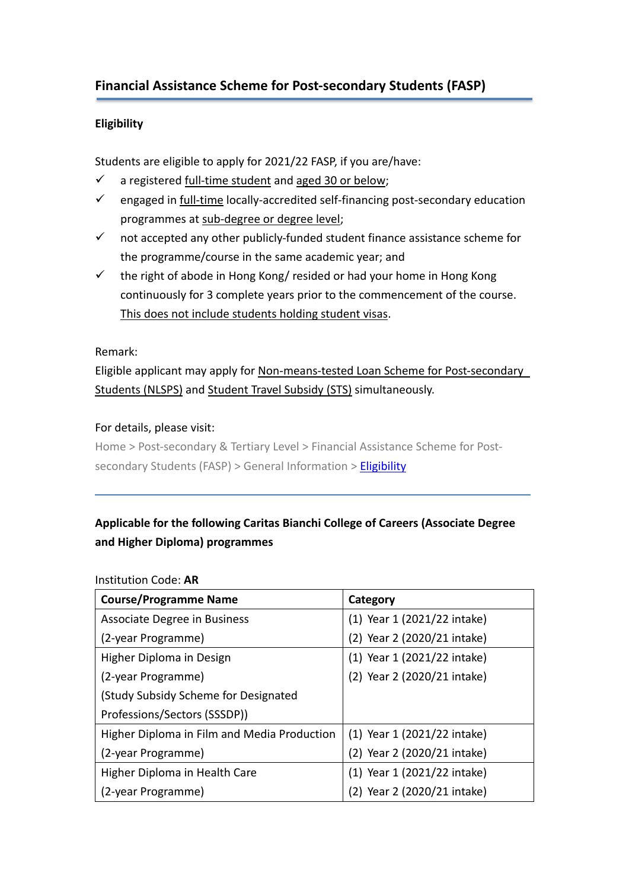# **Eligibility**

Students are eligible to apply for 2021/22 FASP, if you are/have:

- $\checkmark$  a registered full-time student and aged 30 or below;
- $\checkmark$  engaged in full-time locally-accredited self-financing post-secondary education programmes at sub-degree or degree level;
- $\checkmark$  not accepted any other publicly-funded student finance assistance scheme for the programme/course in the same academic year; and
- $\checkmark$  the right of abode in Hong Kong/ resided or had your home in Hong Kong continuously for 3 complete years prior to the commencement of the course. This does not include students holding student visas.

### Remark:

Eligible applicant may apply for Non-means-tested Loan Scheme for Post-secondary Students (NLSPS) and Student Travel Subsidy (STS) simultaneously.

### For details, please visit:

Home > Post-secondary & Tertiary Level > Financial Assistance Scheme for Post-secondary Students (FASP) > General Information > [Eligibility](http://www.wfsfaa.gov.hk/sfo/en/postsecondary/fasp/general/eligibility.htm)

# **Applicable for the following Caritas Bianchi College of Careers (Associate Degree and Higher Diploma) programmes**

#### Institution Code: **AR**

| <b>Course/Programme Name</b>                | Category                    |  |
|---------------------------------------------|-----------------------------|--|
| Associate Degree in Business                | (1) Year 1 (2021/22 intake) |  |
| (2-year Programme)                          | (2) Year 2 (2020/21 intake) |  |
| Higher Diploma in Design                    | (1) Year 1 (2021/22 intake) |  |
| (2-year Programme)                          | (2) Year 2 (2020/21 intake) |  |
| (Study Subsidy Scheme for Designated        |                             |  |
| Professions/Sectors (SSSDP))                |                             |  |
| Higher Diploma in Film and Media Production | (1) Year 1 (2021/22 intake) |  |
| (2-year Programme)                          | (2) Year 2 (2020/21 intake) |  |
| Higher Diploma in Health Care               | (1) Year 1 (2021/22 intake) |  |
| (2-year Programme)                          | (2) Year 2 (2020/21 intake) |  |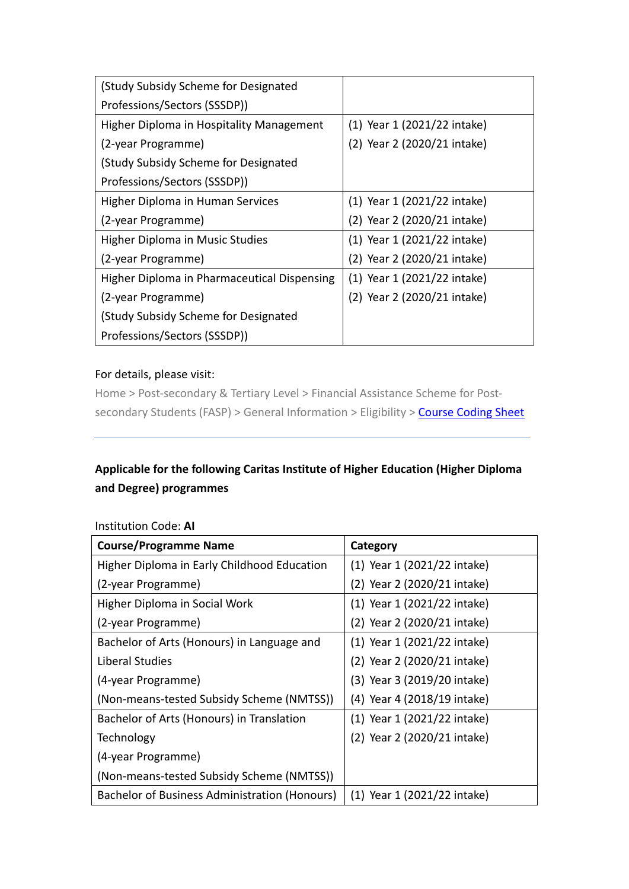| (Study Subsidy Scheme for Designated        |                             |
|---------------------------------------------|-----------------------------|
| Professions/Sectors (SSSDP))                |                             |
| Higher Diploma in Hospitality Management    | (1) Year 1 (2021/22 intake) |
| (2-year Programme)                          | (2) Year 2 (2020/21 intake) |
| (Study Subsidy Scheme for Designated        |                             |
| Professions/Sectors (SSSDP))                |                             |
| Higher Diploma in Human Services            | (1) Year 1 (2021/22 intake) |
| (2-year Programme)                          | (2) Year 2 (2020/21 intake) |
| Higher Diploma in Music Studies             | (1) Year 1 (2021/22 intake) |
| (2-year Programme)                          | (2) Year 2 (2020/21 intake) |
| Higher Diploma in Pharmaceutical Dispensing | (1) Year 1 (2021/22 intake) |
| (2-year Programme)                          | (2) Year 2 (2020/21 intake) |
| (Study Subsidy Scheme for Designated        |                             |
| Professions/Sectors (SSSDP))                |                             |

### For details, please visit:

Home > Post-secondary & Tertiary Level > Financial Assistance Scheme for Post-secondary Students (FASP) > General Information > Eligibility > [Course Coding Sheet](http://www.wfsfaa.gov.hk/sfo/pdf/common/faspcs/AR-CBCC.pdf)

# **Applicable for the following Caritas Institute of Higher Education (Higher Diploma and Degree) programmes**

| <b>Course/Programme Name</b>                         | Category                    |
|------------------------------------------------------|-----------------------------|
| Higher Diploma in Early Childhood Education          | (1) Year 1 (2021/22 intake) |
| (2-year Programme)                                   | (2) Year 2 (2020/21 intake) |
| Higher Diploma in Social Work                        | (1) Year 1 (2021/22 intake) |
| (2-year Programme)                                   | (2) Year 2 (2020/21 intake) |
| Bachelor of Arts (Honours) in Language and           | (1) Year 1 (2021/22 intake) |
| Liberal Studies                                      | (2) Year 2 (2020/21 intake) |
| (4-year Programme)                                   | (3) Year 3 (2019/20 intake) |
| (Non-means-tested Subsidy Scheme (NMTSS))            | (4) Year 4 (2018/19 intake) |
| Bachelor of Arts (Honours) in Translation            | (1) Year 1 (2021/22 intake) |
| Technology                                           | (2) Year 2 (2020/21 intake) |
| (4-year Programme)                                   |                             |
| (Non-means-tested Subsidy Scheme (NMTSS))            |                             |
| <b>Bachelor of Business Administration (Honours)</b> | (1) Year 1 (2021/22 intake) |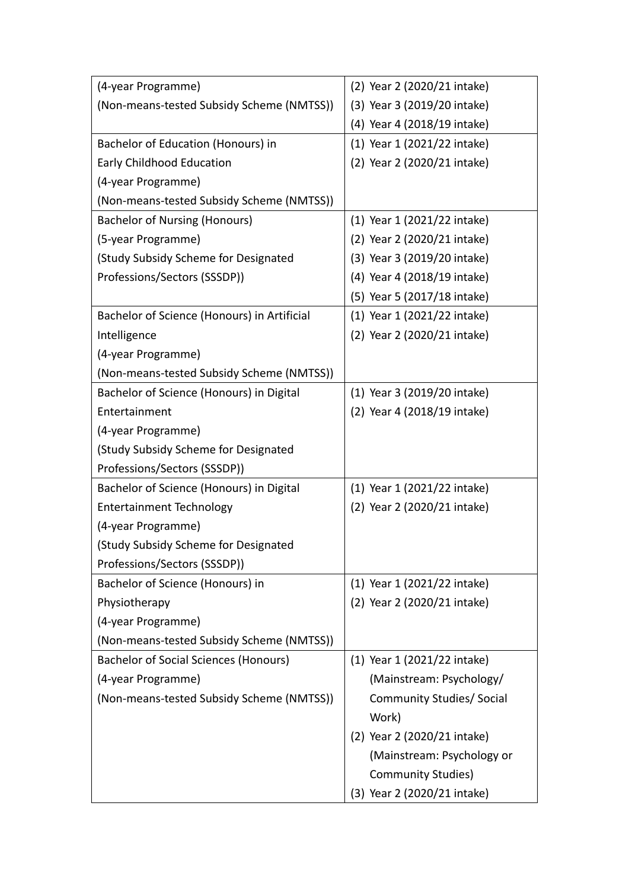| (4-year Programme)                           | (2) Year 2 (2020/21 intake) |
|----------------------------------------------|-----------------------------|
| (Non-means-tested Subsidy Scheme (NMTSS))    | (3) Year 3 (2019/20 intake) |
|                                              | (4) Year 4 (2018/19 intake) |
| Bachelor of Education (Honours) in           | (1) Year 1 (2021/22 intake) |
| Early Childhood Education                    | (2) Year 2 (2020/21 intake) |
| (4-year Programme)                           |                             |
| (Non-means-tested Subsidy Scheme (NMTSS))    |                             |
| <b>Bachelor of Nursing (Honours)</b>         | (1) Year 1 (2021/22 intake) |
| (5-year Programme)                           | (2) Year 2 (2020/21 intake) |
| (Study Subsidy Scheme for Designated         | (3) Year 3 (2019/20 intake) |
| Professions/Sectors (SSSDP))                 | (4) Year 4 (2018/19 intake) |
|                                              | (5) Year 5 (2017/18 intake) |
| Bachelor of Science (Honours) in Artificial  | (1) Year 1 (2021/22 intake) |
| Intelligence                                 | (2) Year 2 (2020/21 intake) |
| (4-year Programme)                           |                             |
| (Non-means-tested Subsidy Scheme (NMTSS))    |                             |
| Bachelor of Science (Honours) in Digital     | (1) Year 3 (2019/20 intake) |
| Entertainment                                | (2) Year 4 (2018/19 intake) |
| (4-year Programme)                           |                             |
| (Study Subsidy Scheme for Designated         |                             |
| Professions/Sectors (SSSDP))                 |                             |
| Bachelor of Science (Honours) in Digital     | (1) Year 1 (2021/22 intake) |
| <b>Entertainment Technology</b>              | (2) Year 2 (2020/21 intake) |
| (4-year Programme)                           |                             |
| (Study Subsidy Scheme for Designated         |                             |
| Professions/Sectors (SSSDP))                 |                             |
| Bachelor of Science (Honours) in             | (1) Year 1 (2021/22 intake) |
| Physiotherapy                                | (2) Year 2 (2020/21 intake) |
| (4-year Programme)                           |                             |
| (Non-means-tested Subsidy Scheme (NMTSS))    |                             |
| <b>Bachelor of Social Sciences (Honours)</b> | (1) Year 1 (2021/22 intake) |
| (4-year Programme)                           | (Mainstream: Psychology/    |
| (Non-means-tested Subsidy Scheme (NMTSS))    | Community Studies/ Social   |
|                                              | Work)                       |
|                                              | (2) Year 2 (2020/21 intake) |
|                                              | (Mainstream: Psychology or  |
|                                              | <b>Community Studies)</b>   |
|                                              | (3) Year 2 (2020/21 intake) |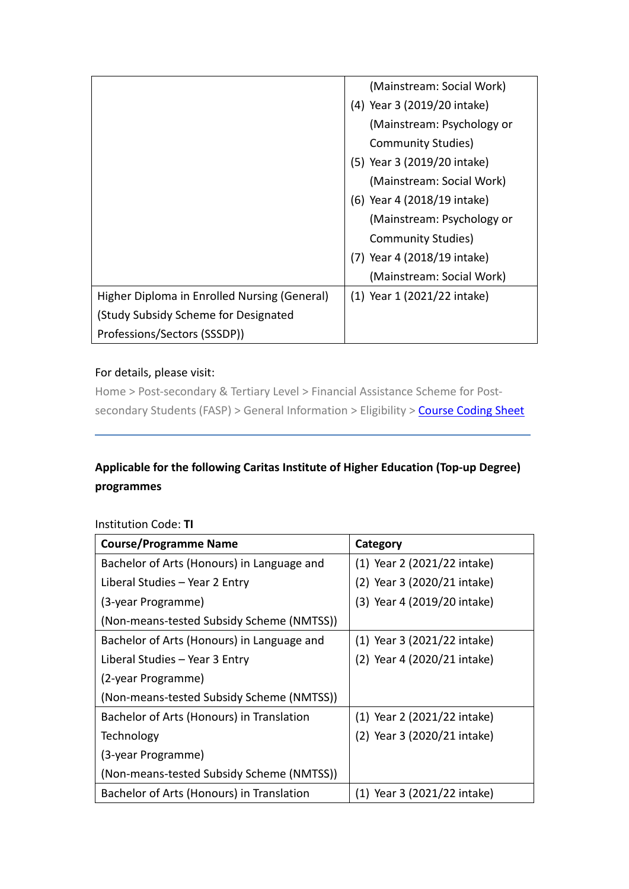|                                              | (Mainstream: Social Work)   |
|----------------------------------------------|-----------------------------|
|                                              | (4) Year 3 (2019/20 intake) |
|                                              | (Mainstream: Psychology or  |
|                                              | Community Studies)          |
|                                              | (5) Year 3 (2019/20 intake) |
|                                              | (Mainstream: Social Work)   |
|                                              | (6) Year 4 (2018/19 intake) |
|                                              | (Mainstream: Psychology or  |
|                                              | Community Studies)          |
|                                              | (7) Year 4 (2018/19 intake) |
|                                              | (Mainstream: Social Work)   |
| Higher Diploma in Enrolled Nursing (General) | (1) Year 1 (2021/22 intake) |
| <b>Study Subsidy Scheme for Designated</b>   |                             |
| Professions/Sectors (SSSDP))                 |                             |

## For details, please visit:

Home > Post-secondary & Tertiary Level > Financial Assistance Scheme for Post-secondary Students (FASP) > General Information > Eligibility > [Course Coding Sheet](http://www.wfsfaa.gov.hk/sfo/pdf/common/faspcs/AI-CIHE.pdf)

# **Applicable for the following Caritas Institute of Higher Education (Top-up Degree) programmes**

### Institution Code: **TI**

| <b>Course/Programme Name</b>               | Category                    |
|--------------------------------------------|-----------------------------|
| Bachelor of Arts (Honours) in Language and | (1) Year 2 (2021/22 intake) |
| Liberal Studies - Year 2 Entry             | (2) Year 3 (2020/21 intake) |
| (3-year Programme)                         | (3) Year 4 (2019/20 intake) |
| (Non-means-tested Subsidy Scheme (NMTSS))  |                             |
| Bachelor of Arts (Honours) in Language and | (1) Year 3 (2021/22 intake) |
| Liberal Studies - Year 3 Entry             | (2) Year 4 (2020/21 intake) |
| (2-year Programme)                         |                             |
| (Non-means-tested Subsidy Scheme (NMTSS))  |                             |
| Bachelor of Arts (Honours) in Translation  | (1) Year 2 (2021/22 intake) |
| Technology                                 | (2) Year 3 (2020/21 intake) |
| (3-year Programme)                         |                             |
| (Non-means-tested Subsidy Scheme (NMTSS))  |                             |
| Bachelor of Arts (Honours) in Translation  | (1) Year 3 (2021/22 intake) |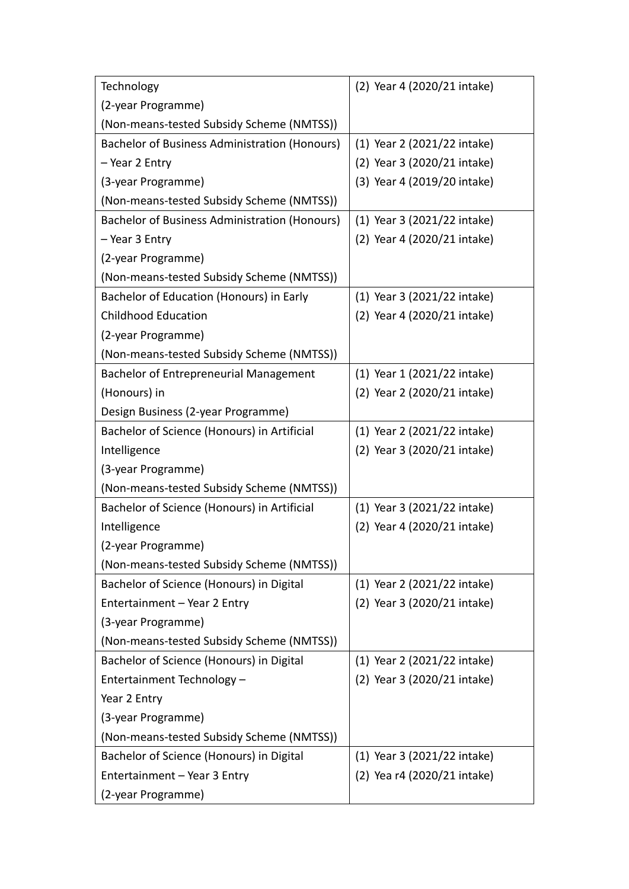| Technology                                           | (2) Year 4 (2020/21 intake)             |
|------------------------------------------------------|-----------------------------------------|
| (2-year Programme)                                   |                                         |
| (Non-means-tested Subsidy Scheme (NMTSS))            |                                         |
| <b>Bachelor of Business Administration (Honours)</b> | (1) Year 2 (2021/22 intake)             |
| - Year 2 Entry                                       | (2) Year 3 (2020/21 intake)             |
| (3-year Programme)                                   | (3) Year 4 (2019/20 intake)             |
| (Non-means-tested Subsidy Scheme (NMTSS))            |                                         |
| <b>Bachelor of Business Administration (Honours)</b> | (1) Year 3 (2021/22 intake)             |
| – Year 3 Entry                                       | (2) Year 4 (2020/21 intake)             |
| (2-year Programme)                                   |                                         |
| (Non-means-tested Subsidy Scheme (NMTSS))            |                                         |
| Bachelor of Education (Honours) in Early             | $(1)$ Year 3 $(2021/22 \text{ intake})$ |
| <b>Childhood Education</b>                           | (2) Year 4 (2020/21 intake)             |
| (2-year Programme)                                   |                                         |
| (Non-means-tested Subsidy Scheme (NMTSS))            |                                         |
| <b>Bachelor of Entrepreneurial Management</b>        | (1) Year 1 (2021/22 intake)             |
| (Honours) in                                         | (2) Year 2 (2020/21 intake)             |
| Design Business (2-year Programme)                   |                                         |
| Bachelor of Science (Honours) in Artificial          | (1) Year 2 (2021/22 intake)             |
| Intelligence                                         | (2) Year 3 (2020/21 intake)             |
| (3-year Programme)                                   |                                         |
| (Non-means-tested Subsidy Scheme (NMTSS))            |                                         |
| Bachelor of Science (Honours) in Artificial          | $(1)$ Year 3 $(2021/22 \text{ intake})$ |
| Intelligence                                         | (2) Year 4 (2020/21 intake)             |
| (2-year Programme)                                   |                                         |
| (Non-means-tested Subsidy Scheme (NMTSS))            |                                         |
| Bachelor of Science (Honours) in Digital             | (1) Year 2 (2021/22 intake)             |
| Entertainment - Year 2 Entry                         | (2) Year 3 (2020/21 intake)             |
| (3-year Programme)                                   |                                         |
| (Non-means-tested Subsidy Scheme (NMTSS))            |                                         |
| Bachelor of Science (Honours) in Digital             | (1) Year 2 (2021/22 intake)             |
| Entertainment Technology -                           | (2) Year 3 (2020/21 intake)             |
| Year 2 Entry                                         |                                         |
| (3-year Programme)                                   |                                         |
| (Non-means-tested Subsidy Scheme (NMTSS))            |                                         |
| Bachelor of Science (Honours) in Digital             | $(1)$ Year 3 $(2021/22 \text{ intake})$ |
| Entertainment - Year 3 Entry                         | (2) Yea r4 (2020/21 intake)             |
| (2-year Programme)                                   |                                         |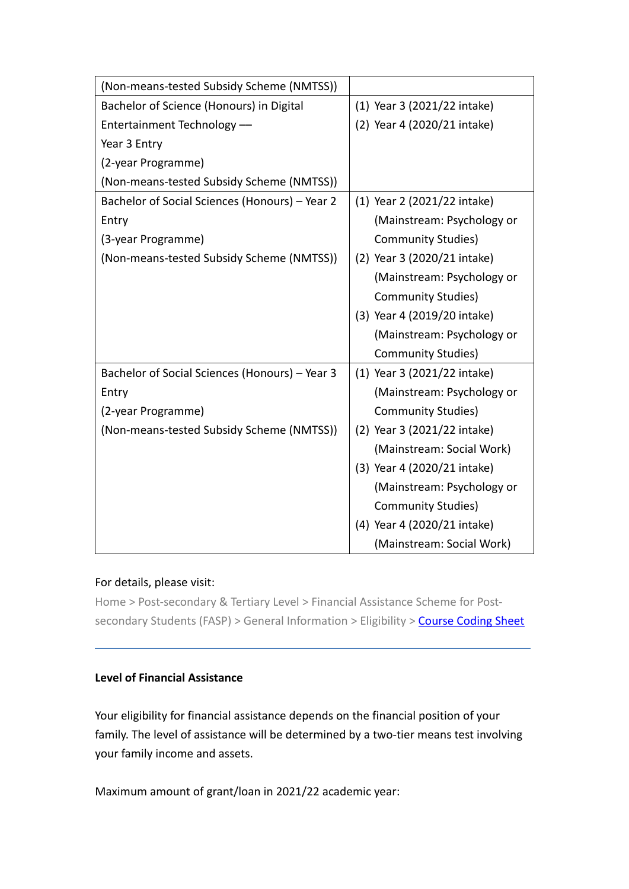| (Non-means-tested Subsidy Scheme (NMTSS))      |                             |
|------------------------------------------------|-----------------------------|
| Bachelor of Science (Honours) in Digital       | (1) Year 3 (2021/22 intake) |
| Entertainment Technology-                      | (2) Year 4 (2020/21 intake) |
| Year 3 Entry                                   |                             |
| (2-year Programme)                             |                             |
| (Non-means-tested Subsidy Scheme (NMTSS))      |                             |
| Bachelor of Social Sciences (Honours) - Year 2 | (1) Year 2 (2021/22 intake) |
| Entry                                          | (Mainstream: Psychology or  |
| (3-year Programme)                             | <b>Community Studies)</b>   |
| (Non-means-tested Subsidy Scheme (NMTSS))      | (2) Year 3 (2020/21 intake) |
|                                                | (Mainstream: Psychology or  |
|                                                | Community Studies)          |
|                                                | (3) Year 4 (2019/20 intake) |
|                                                | (Mainstream: Psychology or  |
|                                                | <b>Community Studies)</b>   |
| Bachelor of Social Sciences (Honours) - Year 3 | (1) Year 3 (2021/22 intake) |
| Entry                                          | (Mainstream: Psychology or  |
| (2-year Programme)                             | <b>Community Studies)</b>   |
| (Non-means-tested Subsidy Scheme (NMTSS))      | (2) Year 3 (2021/22 intake) |
|                                                | (Mainstream: Social Work)   |
|                                                | (3) Year 4 (2020/21 intake) |
|                                                | (Mainstream: Psychology or  |
|                                                | <b>Community Studies)</b>   |
|                                                | (4) Year 4 (2020/21 intake) |
|                                                | (Mainstream: Social Work)   |

#### For details, please visit:

Home > Post-secondary & Tertiary Level > Financial Assistance Scheme for Postsecondary Students (FASP) > General Information > Eligibility > [Course Coding Sheet](http://www.wfsfaa.gov.hk/sfo/pdf/common/faspcs/TI-CIHE.pdf)

# **Level of Financial Assistance**

Your eligibility for financial assistance depends on the financial position of your family. The level of assistance will be determined by a two-tier means test involving your family income and assets.

Maximum amount of grant/loan in 2021/22 academic year: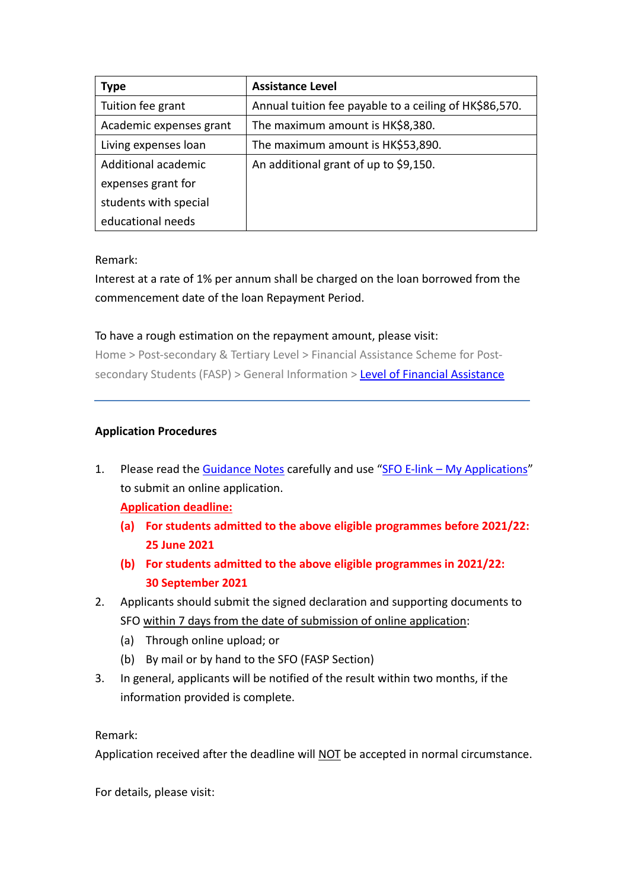| <b>Type</b>             | <b>Assistance Level</b>                                |
|-------------------------|--------------------------------------------------------|
| Tuition fee grant       | Annual tuition fee payable to a ceiling of HK\$86,570. |
| Academic expenses grant | The maximum amount is HK\$8,380.                       |
| Living expenses loan    | The maximum amount is HK\$53,890.                      |
| Additional academic     | An additional grant of up to \$9,150.                  |
| expenses grant for      |                                                        |
| students with special   |                                                        |
| educational needs       |                                                        |

Remark:

Interest at a rate of 1% per annum shall be charged on the loan borrowed from the commencement date of the loan Repayment Period.

### To have a rough estimation on the repayment amount, please visit:

Home > Post-secondary & Tertiary Level > Financial Assistance Scheme for Post-secondary Students (FASP) > General Information > [Level of Financial Assistance](http://www.wfsfaa.gov.hk/sfo/en/postsecondary/fasp/general/assistance.htm)

### **Application Procedures**

1. Please read the [Guidance Notes](http://www.wfsfaa.gov.hk/sfo/pdf/common/Form/fasp/FASP_1B.pdf) carefully and use "SFO E-link – [My Applications"](https://ess.wfsfaa.gov.hk/essprd/jsp/app/apps0101.jsp?language=en) to submit an online application.

**Application deadline:**

- **(a) For students admitted to the above eligible programmes before 2021/22: 25 June 2021**
- **(b) For students admitted to the above eligible programmes in 2021/22: 30 September 2021**
- 2. Applicants should submit the signed declaration and supporting documents to SFO within 7 days from the date of submission of online application:
	- (a) Through online upload; or
	- (b) By mail or by hand to the SFO (FASP Section)
- 3. In general, applicants will be notified of the result within two months, if the information provided is complete.

Remark:

Application received after the deadline will NOT be accepted in normal circumstance.

For details, please visit: